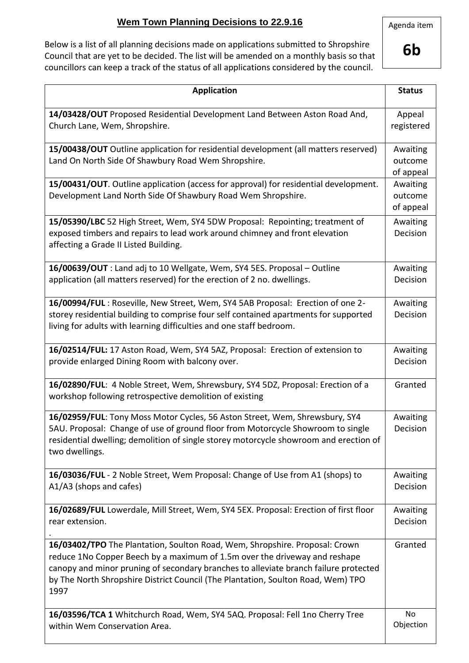## **Wem Town Planning Decisions to 22.9.16**

Below is a list of all planning decisions made on applications submitted to Shropshire Council that are yet to be decided. The list will be amended on a monthly basis so that councillors can keep a track of the status of all applications considered by the council.

**6b**

| <b>Application</b>                                                                                                                                                                                                                                                                                                                            | <b>Status</b>                    |
|-----------------------------------------------------------------------------------------------------------------------------------------------------------------------------------------------------------------------------------------------------------------------------------------------------------------------------------------------|----------------------------------|
| 14/03428/OUT Proposed Residential Development Land Between Aston Road And,<br>Church Lane, Wem, Shropshire.                                                                                                                                                                                                                                   | Appeal<br>registered             |
| 15/00438/OUT Outline application for residential development (all matters reserved)<br>Land On North Side Of Shawbury Road Wem Shropshire.                                                                                                                                                                                                    | Awaiting<br>outcome<br>of appeal |
| 15/00431/OUT. Outline application (access for approval) for residential development.<br>Development Land North Side Of Shawbury Road Wem Shropshire.                                                                                                                                                                                          | Awaiting<br>outcome<br>of appeal |
| 15/05390/LBC 52 High Street, Wem, SY4 5DW Proposal: Repointing; treatment of<br>exposed timbers and repairs to lead work around chimney and front elevation<br>affecting a Grade II Listed Building.                                                                                                                                          | Awaiting<br>Decision             |
| 16/00639/OUT : Land adj to 10 Wellgate, Wem, SY4 5ES. Proposal - Outline<br>application (all matters reserved) for the erection of 2 no. dwellings.                                                                                                                                                                                           | Awaiting<br>Decision             |
| 16/00994/FUL: Roseville, New Street, Wem, SY4 5AB Proposal: Erection of one 2-<br>storey residential building to comprise four self contained apartments for supported<br>living for adults with learning difficulties and one staff bedroom.                                                                                                 | Awaiting<br>Decision             |
| 16/02514/FUL: 17 Aston Road, Wem, SY4 5AZ, Proposal: Erection of extension to<br>provide enlarged Dining Room with balcony over.                                                                                                                                                                                                              | Awaiting<br>Decision             |
| 16/02890/FUL: 4 Noble Street, Wem, Shrewsbury, SY4 5DZ, Proposal: Erection of a<br>workshop following retrospective demolition of existing                                                                                                                                                                                                    | Granted                          |
| 16/02959/FUL: Tony Moss Motor Cycles, 56 Aston Street, Wem, Shrewsbury, SY4<br>5AU. Proposal: Change of use of ground floor from Motorcycle Showroom to single<br>residential dwelling; demolition of single storey motorcycle showroom and erection of<br>two dwellings.                                                                     | Awaiting<br>Decision             |
| 16/03036/FUL - 2 Noble Street, Wem Proposal: Change of Use from A1 (shops) to<br>A1/A3 (shops and cafes)                                                                                                                                                                                                                                      | Awaiting<br>Decision             |
| 16/02689/FUL Lowerdale, Mill Street, Wem, SY4 5EX. Proposal: Erection of first floor<br>rear extension.                                                                                                                                                                                                                                       | Awaiting<br>Decision             |
| 16/03402/TPO The Plantation, Soulton Road, Wem, Shropshire. Proposal: Crown<br>reduce 1No Copper Beech by a maximum of 1.5m over the driveway and reshape<br>canopy and minor pruning of secondary branches to alleviate branch failure protected<br>by The North Shropshire District Council (The Plantation, Soulton Road, Wem) TPO<br>1997 | Granted                          |
| 16/03596/TCA 1 Whitchurch Road, Wem, SY4 5AQ. Proposal: Fell 1no Cherry Tree<br>within Wem Conservation Area.                                                                                                                                                                                                                                 | No<br>Objection                  |